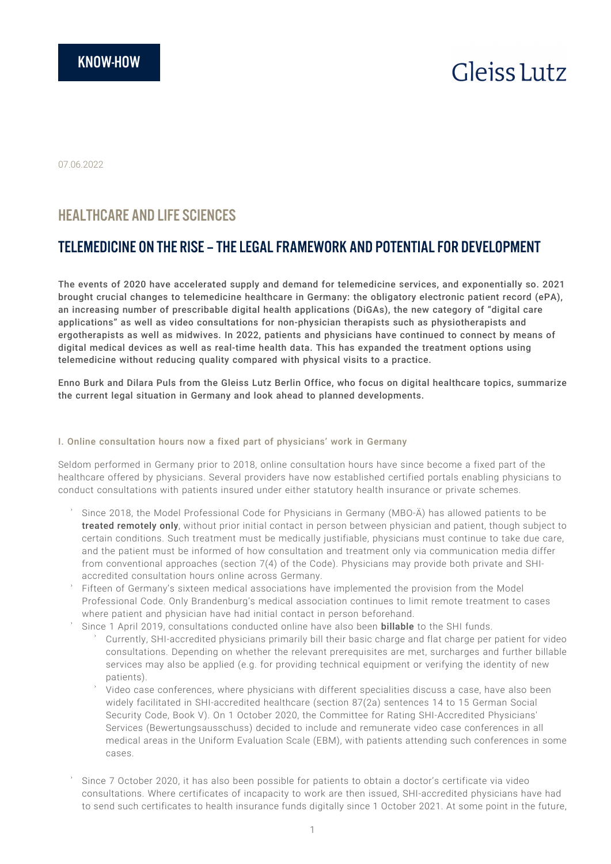# **Gleiss** Lutz

07.06.2022

# HEALTHCARE AND LIFE SCIENCES

# TELEMEDICINE ON THE RISE – THE LEGAL FRAMEWORK AND POTENTIAL FOR DEVELOPMENT

The events of 2020 have accelerated supply and demand for telemedicine services, and exponentially so. 2021 brought crucial changes to telemedicine healthcare in Germany: the obligatory electronic patient record (ePA), an increasing number of prescribable digital health applications (DiGAs), the new category of "digital care applications" as well as video consultations for non-physician therapists such as physiotherapists and ergotherapists as well as midwives. In 2022, patients and physicians have continued to connect by means of digital medical devices as well as real-time health data. This has expanded the treatment options using telemedicine without reducing quality compared with physical visits to a practice.

Enno Burk and Dilara Puls from the Gleiss Lutz Berlin Office, who focus on digital healthcare topics, summarize the current legal situation in Germany and look ahead to planned developments.

#### I. Online consultation hours now a fixed part of physicians' work in Germany

Seldom performed in Germany prior to 2018, online consultation hours have since become a fixed part of the healthcare offered by physicians. Several providers have now established certified portals enabling physicians to conduct consultations with patients insured under either statutory health insurance or private schemes.

- Since 2018, the Model Professional Code for Physicians in Germany (MBO-Ä) has allowed patients to be treated remotely only, without prior initial contact in person between physician and patient, though subject to certain conditions. Such treatment must be medically justifiable, physicians must continue to take due care, and the patient must be informed of how consultation and treatment only via communication media differ from conventional approaches (section 7(4) of the Code). Physicians may provide both private and SHIaccredited consultation hours online across Germany.
- Fifteen of Germany's sixteen medical associations have implemented the provision from the Model Professional Code. Only Brandenburg's medical association continues to limit remote treatment to cases where patient and physician have had initial contact in person beforehand.
- Since 1 April 2019, consultations conducted online have also been billable to the SHI funds.
	- Currently, SHI-accredited physicians primarily bill their basic charge and flat charge per patient for video consultations. Depending on whether the relevant prerequisites are met, surcharges and further billable services may also be applied (e.g. for providing technical equipment or verifying the identity of new patients).
	- Video case conferences, where physicians with different specialities discuss a case, have also been widely facilitated in SHI-accredited healthcare (section 87(2a) sentences 14 to 15 German Social Security Code, Book V). On 1 October 2020, the Committee for Rating SHI-Accredited Physicians' Services (Bewertungsausschuss) decided to include and remunerate video case conferences in all medical areas in the Uniform Evaluation Scale (EBM), with patients attending such conferences in some cases.
- Since 7 October 2020, it has also been possible for patients to obtain a doctor's certificate via video consultations. Where certificates of incapacity to work are then issued, SHI-accredited physicians have had to send such certificates to health insurance funds digitally since 1 October 2021. At some point in the future,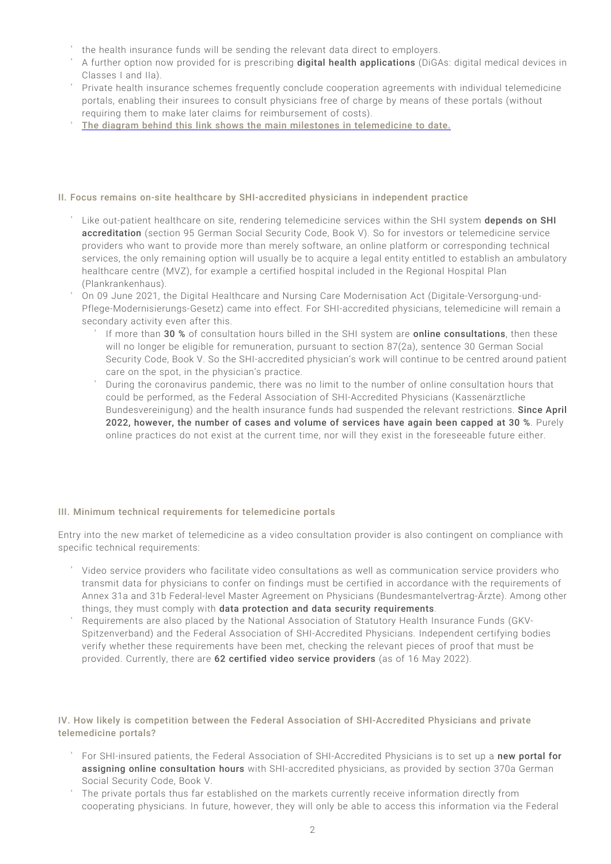- the health insurance funds will be sending the relevant data direct to employers.
- A further option now provided for is prescribing digital health applications (DiGAs: digital medical devices in Classes I and IIa).
- Private health insurance schemes frequently conclude cooperation agreements with individual telemedicine portals, enabling their insurees to consult physicians free of charge by means of these portals (without requiring them to make later claims for reimbursement of costs).
- [The diagram behind this link shows the main milestones in telemedicine to date.](https://www.gleisslutz.com/Milestones_telemedical_engl.png)

#### II. Focus remains on-site healthcare by SHI-accredited physicians in independent practice

- Like out-patient healthcare on site, rendering telemedicine services within the SHI system depends on SHI accreditation (section 95 German Social Security Code, Book V). So for investors or telemedicine service providers who want to provide more than merely software, an online platform or corresponding technical services, the only remaining option will usually be to acquire a legal entity entitled to establish an ambulatory healthcare centre (MVZ), for example a certified hospital included in the Regional Hospital Plan (Plankrankenhaus).
- On 09 June 2021, the Digital Healthcare and Nursing Care Modernisation Act (Digitale-Versorgung-und-Pflege-Modernisierungs-Gesetz) came into effect. For SHI-accredited physicians, telemedicine will remain a secondary activity even after this.
	- If more than 30 % of consultation hours billed in the SHI system are online consultations, then these will no longer be eligible for remuneration, pursuant to section 87(2a), sentence 30 German Social Security Code, Book V. So the SHI-accredited physician's work will continue to be centred around patient care on the spot, in the physician's practice.
	- During the coronavirus pandemic, there was no limit to the number of online consultation hours that could be performed, as the Federal Association of SHI-Accredited Physicians (Kassenärztliche Bundesvereinigung) and the health insurance funds had suspended the relevant restrictions. Since April 2022, however, the number of cases and volume of services have again been capped at 30 %. Purely online practices do not exist at the current time, nor will they exist in the foreseeable future either.

#### III. Minimum technical requirements for telemedicine portals

Entry into the new market of telemedicine as a video consultation provider is also contingent on compliance with specific technical requirements:

- Video service providers who facilitate video consultations as well as communication service providers who transmit data for physicians to confer on findings must be certified in accordance with the requirements of Annex 31a and 31b Federal-level Master Agreement on Physicians (Bundesmantelvertrag-Ärzte). Among other things, they must comply with data protection and data security requirements.
- Requirements are also placed by the National Association of Statutory Health Insurance Funds (GKV-Spitzenverband) and the Federal Association of SHI-Accredited Physicians. Independent certifying bodies verify whether these requirements have been met, checking the relevant pieces of proof that must be provided. Currently, there are 62 certified video service providers (as of 16 May 2022).

#### IV. How likely is competition between the Federal Association of SHI-Accredited Physicians and private telemedicine portals?

- For SHI-insured patients, the Federal Association of SHI-Accredited Physicians is to set up a new portal for assigning online consultation hours with SHI-accredited physicians, as provided by section 370a German Social Security Code, Book V.
- The private portals thus far established on the markets currently receive information directly from cooperating physicians. In future, however, they will only be able to access this information via the Federal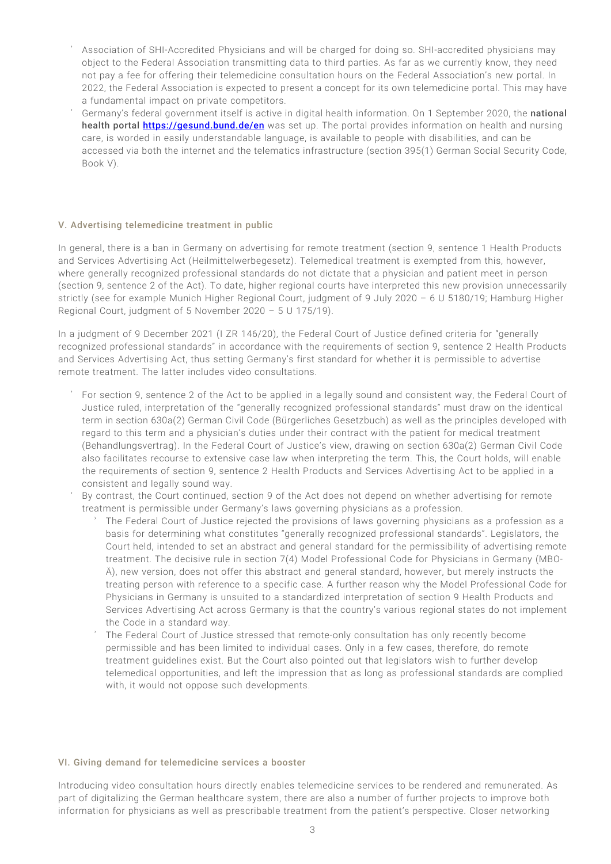- Association of SHI-Accredited Physicians and will be charged for doing so. SHI-accredited physicians may object to the Federal Association transmitting data to third parties. As far as we currently know, they need not pay a fee for offering their telemedicine consultation hours on the Federal Association's new portal. In 2022, the Federal Association is expected to present a concept for its own telemedicine portal. This may have a fundamental impact on private competitors.
- Germany's federal government itself is active in digital health information. On 1 September 2020, the national health portal <https://gesund.bund.de/en> was set up. The portal provides information on health and nursing care, is worded in easily understandable language, is available to people with disabilities, and can be accessed via both the internet and the telematics infrastructure (section 395(1) German Social Security Code, Book V).

#### V. Advertising telemedicine treatment in public

In general, there is a ban in Germany on advertising for remote treatment (section 9, sentence 1 Health Products and Services Advertising Act (Heilmittelwerbegesetz). Telemedical treatment is exempted from this, however, where generally recognized professional standards do not dictate that a physician and patient meet in person (section 9, sentence 2 of the Act). To date, higher regional courts have interpreted this new provision unnecessarily strictly (see for example Munich Higher Regional Court, judgment of 9 July 2020 – 6 U 5180/19; Hamburg Higher Regional Court, judgment of 5 November 2020 – 5 U 175/19).

In a judgment of 9 December 2021 (I ZR 146/20), the Federal Court of Justice defined criteria for "generally recognized professional standards" in accordance with the requirements of section 9, sentence 2 Health Products and Services Advertising Act, thus setting Germany's first standard for whether it is permissible to advertise remote treatment. The latter includes video consultations.

- For section 9, sentence 2 of the Act to be applied in a legally sound and consistent way, the Federal Court of Justice ruled, interpretation of the "generally recognized professional standards" must draw on the identical term in section 630a(2) German Civil Code (Bürgerliches Gesetzbuch) as well as the principles developed with regard to this term and a physician's duties under their contract with the patient for medical treatment (Behandlungsvertrag). In the Federal Court of Justice's view, drawing on section 630a(2) German Civil Code also facilitates recourse to extensive case law when interpreting the term. This, the Court holds, will enable the requirements of section 9, sentence 2 Health Products and Services Advertising Act to be applied in a consistent and legally sound way.
- By contrast, the Court continued, section 9 of the Act does not depend on whether advertising for remote treatment is permissible under Germany's laws governing physicians as a profession.
	- The Federal Court of Justice rejected the provisions of laws governing physicians as a profession as a basis for determining what constitutes "generally recognized professional standards". Legislators, the Court held, intended to set an abstract and general standard for the permissibility of advertising remote treatment. The decisive rule in section 7(4) Model Professional Code for Physicians in Germany (MBO-Ä), new version, does not offer this abstract and general standard, however, but merely instructs the treating person with reference to a specific case. A further reason why the Model Professional Code for Physicians in Germany is unsuited to a standardized interpretation of section 9 Health Products and Services Advertising Act across Germany is that the country's various regional states do not implement the Code in a standard way.
	- The Federal Court of Justice stressed that remote-only consultation has only recently become permissible and has been limited to individual cases. Only in a few cases, therefore, do remote treatment guidelines exist. But the Court also pointed out that legislators wish to further develop telemedical opportunities, and left the impression that as long as professional standards are complied with, it would not oppose such developments.

#### VI. Giving demand for telemedicine services a booster

Introducing video consultation hours directly enables telemedicine services to be rendered and remunerated. As part of digitalizing the German healthcare system, there are also a number of further projects to improve both information for physicians as well as prescribable treatment from the patient's perspective. Closer networking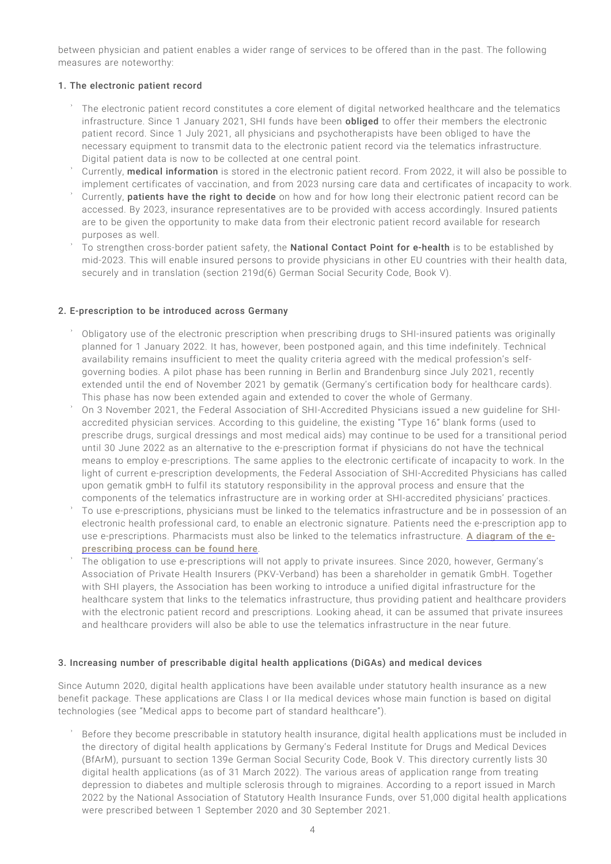between physician and patient enables a wider range of services to be offered than in the past. The following measures are noteworthy:

## 1. The electronic patient record

- The electronic patient record constitutes a core element of digital networked healthcare and the telematics infrastructure. Since 1 January 2021, SHI funds have been **obliged** to offer their members the electronic patient record. Since 1 July 2021, all physicians and psychotherapists have been obliged to have the necessary equipment to transmit data to the electronic patient record via the telematics infrastructure. Digital patient data is now to be collected at one central point.
- Currently, medical information is stored in the electronic patient record. From 2022, it will also be possible to implement certificates of vaccination, and from 2023 nursing care data and certificates of incapacity to work.
- Currently, patients have the right to decide on how and for how long their electronic patient record can be accessed. By 2023, insurance representatives are to be provided with access accordingly. Insured patients are to be given the opportunity to make data from their electronic patient record available for research purposes as well.
- To strengthen cross-border patient safety, the **National Contact Point for e-health** is to be established by mid-2023. This will enable insured persons to provide physicians in other EU countries with their health data, securely and in translation (section 219d(6) German Social Security Code, Book V).

# 2. E-prescription to be introduced across Germany

- Obligatory use of the electronic prescription when prescribing drugs to SHI-insured patients was originally planned for 1 January 2022. It has, however, been postponed again, and this time indefinitely. Technical availability remains insufficient to meet the quality criteria agreed with the medical profession's selfgoverning bodies. A pilot phase has been running in Berlin and Brandenburg since July 2021, recently extended until the end of November 2021 by gematik (Germany's certification body for healthcare cards). This phase has now been extended again and extended to cover the whole of Germany.
- On 3 November 2021, the Federal Association of SHI-Accredited Physicians issued a new guideline for SHIaccredited physician services. According to this guideline, the existing "Type 16" blank forms (used to prescribe drugs, surgical dressings and most medical aids) may continue to be used for a transitional period until 30 June 2022 as an alternative to the e-prescription format if physicians do not have the technical means to employ e-prescriptions. The same applies to the electronic certificate of incapacity to work. In the light of current e-prescription developments, the Federal Association of SHI-Accredited Physicians has called upon gematik gmbH to fulfil its statutory responsibility in the approval process and ensure that the components of the telematics infrastructure are in working order at SHI-accredited physicians' practices.
- To use e-prescriptions, physicians must be linked to the telematics infrastructure and be in possession of an electronic health professional card, to enable an electronic signature. Patients need the e-prescription app to use e-prescriptions. Pharmacists must also be linked to the telematics infrastructure. [A diagram of the e](https://www.gleisslutz.com/Telematics%20Infrastructure_eng.png)[prescribing process can be found here](https://www.gleisslutz.com/Telematics%20Infrastructure_eng.png).
- The obligation to use e-prescriptions will not apply to private insurees. Since 2020, however, Germany's Association of Private Health Insurers (PKV-Verband) has been a shareholder in gematik GmbH. Together with SHI players, the Association has been working to introduce a unified digital infrastructure for the healthcare system that links to the telematics infrastructure, thus providing patient and healthcare providers with the electronic patient record and prescriptions. Looking ahead, it can be assumed that private insurees and healthcare providers will also be able to use the telematics infrastructure in the near future.

## 3. Increasing number of prescribable digital health applications (DiGAs) and medical devices

Since Autumn 2020, digital health applications have been available under statutory health insurance as a new benefit package. These applications are Class I or IIa medical devices whose main function is based on digital technologies (see "Medical apps to become part of standard healthcare").

Before they become prescribable in statutory health insurance, digital health applications must be included in the directory of digital health applications by Germany's Federal Institute for Drugs and Medical Devices (BfArM), pursuant to section 139e German Social Security Code, Book V. This directory currently lists 30 digital health applications (as of 31 March 2022). The various areas of application range from treating depression to diabetes and multiple sclerosis through to migraines. According to a report issued in March 2022 by the National Association of Statutory Health Insurance Funds, over 51,000 digital health applications were prescribed between 1 September 2020 and 30 September 2021.